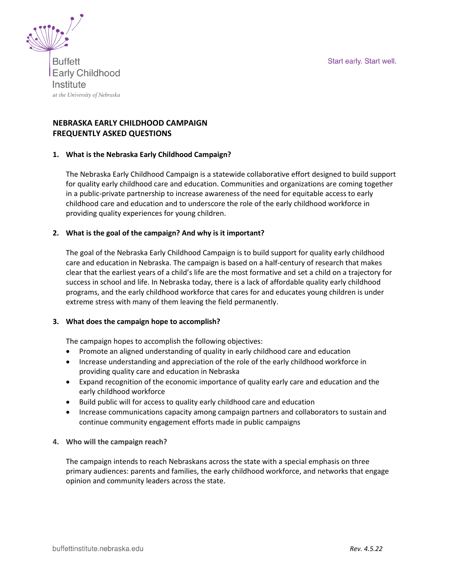Start early. Start well.



**Buffett Early Childhood** Institute at the University of Nebraska

# **NEBRASKA EARLY CHILDHOOD CAMPAIGN FREQUENTLY ASKED QUESTIONS**

### **1. What is the Nebraska Early Childhood Campaign?**

The Nebraska Early Childhood Campaign is a statewide collaborative effort designed to build support for quality early childhood care and education. Communities and organizations are coming together in a public-private partnership to increase awareness of the need for equitable access to early childhood care and education and to underscore the role of the early childhood workforce in providing quality experiences for young children.

### **2. What is the goal of the campaign? And why is it important?**

The goal of the Nebraska Early Childhood Campaign is to build support for quality early childhood care and education in Nebraska. The campaign is based on a half-century of research that makes clear that the earliest years of a child's life are the most formative and set a child on a trajectory for success in school and life. In Nebraska today, there is a lack of affordable quality early childhood programs, and the early childhood workforce that cares for and educates young children is under extreme stress with many of them leaving the field permanently.

### **3. What does the campaign hope to accomplish?**

The campaign hopes to accomplish the following objectives:

- Promote an aligned understanding of quality in early childhood care and education
- Increase understanding and appreciation of the role of the early childhood workforce in providing quality care and education in Nebraska
- Expand recognition of the economic importance of quality early care and education and the early childhood workforce
- Build public will for access to quality early childhood care and education
- Increase communications capacity among campaign partners and collaborators to sustain and continue community engagement efforts made in public campaigns
- **4. Who will the campaign reach?**

The campaign intends to reach Nebraskans across the state with a special emphasis on three primary audiences: parents and families, the early childhood workforce, and networks that engage opinion and community leaders across the state.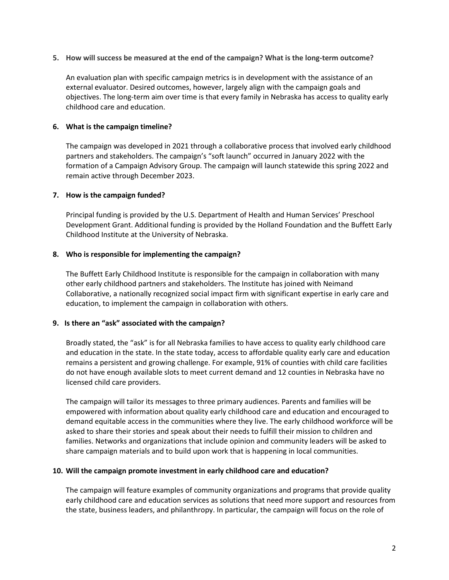**5. How will success be measured at the end of the campaign? What is the long-term outcome?**

An evaluation plan with specific campaign metrics is in development with the assistance of an external evaluator. Desired outcomes, however, largely align with the campaign goals and objectives. The long-term aim over time is that every family in Nebraska has access to quality early childhood care and education.

### **6. What is the campaign timeline?**

The campaign was developed in 2021 through a collaborative process that involved early childhood partners and stakeholders. The campaign's "soft launch" occurred in January 2022 with the formation of a Campaign Advisory Group. The campaign will launch statewide this spring 2022 and remain active through December 2023.

#### **7. How is the campaign funded?**

Principal funding is provided by the U.S. Department of Health and Human Services' Preschool Development Grant. Additional funding is provided by the Holland Foundation and the Buffett Early Childhood Institute at the University of Nebraska.

### **8. Who is responsible for implementing the campaign?**

The Buffett Early Childhood Institute is responsible for the campaign in collaboration with many other early childhood partners and stakeholders. The Institute has joined with Neimand Collaborative, a nationally recognized social impact firm with significant expertise in early care and education, to implement the campaign in collaboration with others.

### **9. Is there an "ask" associated with the campaign?**

Broadly stated, the "ask" is for all Nebraska families to have access to quality early childhood care and education in the state. In the state today, access to affordable quality early care and education remains a persistent and growing challenge. For example, 91% of counties with child care facilities do not have enough available slots to meet current demand and 12 counties in Nebraska have no licensed child care providers.

The campaign will tailor its messages to three primary audiences. Parents and families will be empowered with information about quality early childhood care and education and encouraged to demand equitable access in the communities where they live. The early childhood workforce will be asked to share their stories and speak about their needs to fulfill their mission to children and families. Networks and organizations that include opinion and community leaders will be asked to share campaign materials and to build upon work that is happening in local communities.

### **10. Will the campaign promote investment in early childhood care and education?**

The campaign will feature examples of community organizations and programs that provide quality early childhood care and education services as solutions that need more support and resources from the state, business leaders, and philanthropy. In particular, the campaign will focus on the role of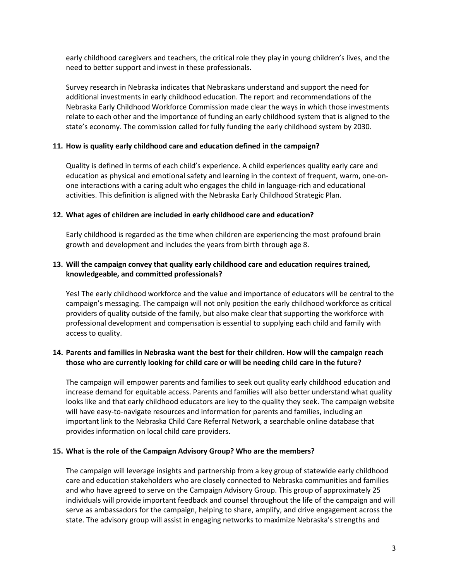early childhood caregivers and teachers, the critical role they play in young children's lives, and the need to better support and invest in these professionals.

Survey research in Nebraska indicates that Nebraskans understand and support the need for additional investments in early childhood education. The report and recommendations of the Nebraska Early Childhood Workforce Commission made clear the ways in which those investments relate to each other and the importance of funding an early childhood system that is aligned to the state's economy. The commission called for fully funding the early childhood system by 2030.

### **11. How is quality early childhood care and education defined in the campaign?**

Quality is defined in terms of each child's experience. A child experiences quality early care and education as physical and emotional safety and learning in the context of frequent, warm, one-onone interactions with a caring adult who engages the child in language-rich and educational activities. This definition is aligned with the Nebraska Early Childhood Strategic Plan.

### **12. What ages of children are included in early childhood care and education?**

Early childhood is regarded as the time when children are experiencing the most profound brain growth and development and includes the years from birth through age 8.

### **13. Will the campaign convey that quality early childhood care and education requires trained, knowledgeable, and committed professionals?**

Yes! The early childhood workforce and the value and importance of educators will be central to the campaign's messaging. The campaign will not only position the early childhood workforce as critical providers of quality outside of the family, but also make clear that supporting the workforce with professional development and compensation is essential to supplying each child and family with access to quality.

## **14. Parents and families in Nebraska want the best for their children. How will the campaign reach those who are currently looking for child care or will be needing child care in the future?**

The campaign will empower parents and families to seek out quality early childhood education and increase demand for equitable access. Parents and families will also better understand what quality looks like and that early childhood educators are key to the quality they seek. The campaign website will have easy-to-navigate resources and information for parents and families, including an important link to the Nebraska Child Care Referral Network, a searchable online database that provides information on local child care providers.

### **15. What is the role of the Campaign Advisory Group? Who are the members?**

The campaign will leverage insights and partnership from a key group of statewide early childhood care and education stakeholders who are closely connected to Nebraska communities and families and who have agreed to serve on the Campaign Advisory Group. This group of approximately 25 individuals will provide important feedback and counsel throughout the life of the campaign and will serve as ambassadors for the campaign, helping to share, amplify, and drive engagement across the state. The advisory group will assist in engaging networks to maximize Nebraska's strengths and